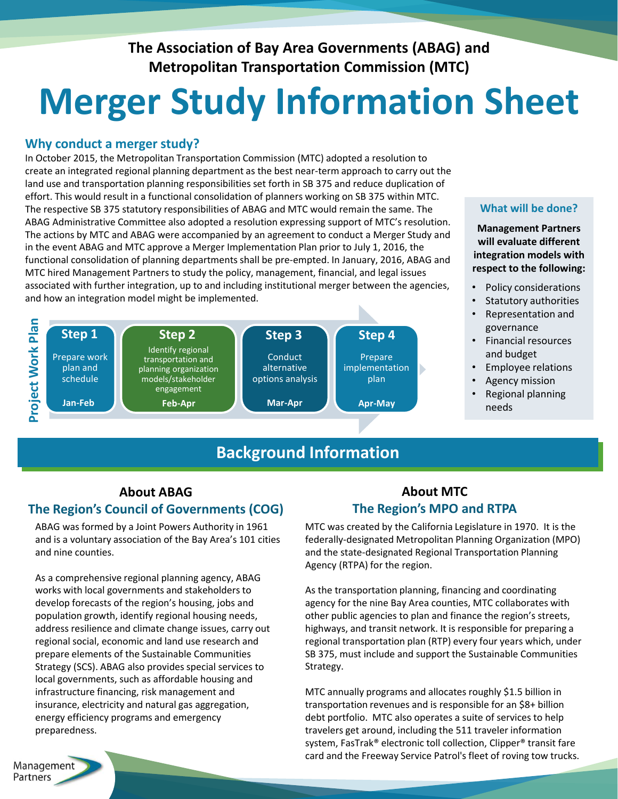**The Association of Bay Area Governments (ABAG) and Metropolitan Transportation Commission (MTC)** 

# **Merger Study Information Sheet**

#### **Why conduct a merger study?**

In October 2015, the Metropolitan Transportation Commission (MTC) adopted a resolution to create an integrated regional planning department as the best near-term approach to carry out the land use and transportation planning responsibilities set forth in SB 375 and reduce duplication of effort. This would result in a functional consolidation of planners working on SB 375 within MTC. The respective SB 375 statutory responsibilities of ABAG and MTC would remain the same. The ABAG Administrative Committee also adopted a resolution expressing support of MTC's resolution. The actions by MTC and ABAG were accompanied by an agreement to conduct a Merger Study and in the event ABAG and MTC approve a Merger Implementation Plan prior to July 1, 2016, the functional consolidation of planning departments shall be pre-empted. In January, 2016, ABAG and MTC hired Management Partners to study the policy, management, financial, and legal issues associated with further integration, up to and including institutional merger between the agencies, and how an integration model might be implemented.



# **Background Information**

#### **What will be done?**

**Management Partners will evaluate different integration models with respect to the following:**

- Policy considerations
- Statutory authorities
- Representation and governance
- Financial resources and budget
- Employee relations
- Agency mission
- Regional planning needs

## **About ABAG The Region's Council of Governments (COG)**

ABAG was formed by a Joint Powers Authority in 1961 and is a voluntary association of the Bay Area's 101 cities and nine counties.

As a comprehensive regional planning agency, ABAG works with local governments and stakeholders to develop forecasts of the region's housing, jobs and population growth, identify regional housing needs, address resilience and climate change issues, carry out regional social, economic and land use research and prepare elements of the Sustainable Communities Strategy (SCS). ABAG also provides special services to local governments, such as affordable housing and infrastructure financing, risk management and insurance, electricity and natural gas aggregation, energy efficiency programs and emergency preparedness.

### **About MTC The Region's MPO and RTPA**

MTC was created by the California Legislature in 1970. It is the federally-designated Metropolitan Planning Organization (MPO) and the state-designated Regional Transportation Planning Agency (RTPA) for the region.

As the transportation planning, financing and coordinating agency for the nine Bay Area counties, MTC collaborates with other public agencies to plan and finance the region's streets, highways, and transit network. It is responsible for preparing a regional transportation plan (RTP) every four years which, under SB 375, must include and support the Sustainable Communities Strategy.

1 card and the Freeway Service Patrol's fleet of roving tow trucks. MTC annually programs and allocates roughly \$1.5 billion in transportation revenues and is responsible for an \$8+ billion debt portfolio. MTC also operates a suite of services to help travelers get around, including the 511 traveler information system, FasTrak® electronic toll collection, Clipper® transit fare